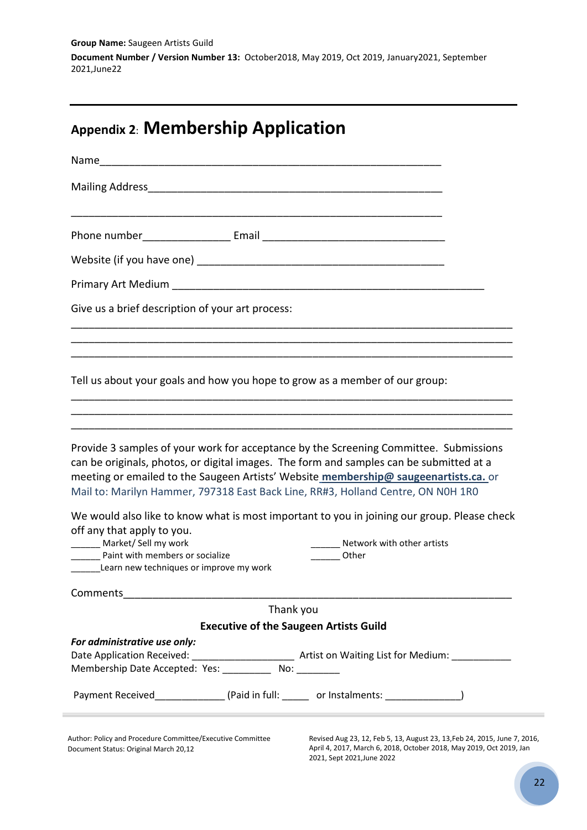**Group Name:** Saugeen Artists Guild **Document Number / Version Number 13:** October2018, May 2019, Oct 2019, January2021, September 2021,June22

# **Appendix 2**: **Membership Application**

| Give us a brief description of your art process:                                                                                |                                                                                                                                                                                                                                                                     |
|---------------------------------------------------------------------------------------------------------------------------------|---------------------------------------------------------------------------------------------------------------------------------------------------------------------------------------------------------------------------------------------------------------------|
|                                                                                                                                 | Tell us about your goals and how you hope to grow as a member of our group:                                                                                                                                                                                         |
|                                                                                                                                 | Provide 3 samples of your work for acceptance by the Screening Committee. Submissions                                                                                                                                                                               |
|                                                                                                                                 | can be originals, photos, or digital images. The form and samples can be submitted at a<br>meeting or emailed to the Saugeen Artists' Website membership@ saugeenartists.ca. or<br>Mail to: Marilyn Hammer, 797318 East Back Line, RR#3, Holland Centre, ON NOH 1RO |
|                                                                                                                                 | We would also like to know what is most important to you in joining our group. Please check                                                                                                                                                                         |
| off any that apply to you.<br>Market/Sell my work<br>Paint with members or socialize<br>Learn new techniques or improve my work | ______ Network with other artists<br><b>Other</b>                                                                                                                                                                                                                   |
| Comments                                                                                                                        |                                                                                                                                                                                                                                                                     |
|                                                                                                                                 | Thank you                                                                                                                                                                                                                                                           |
|                                                                                                                                 | <b>Executive of the Saugeen Artists Guild</b>                                                                                                                                                                                                                       |
|                                                                                                                                 |                                                                                                                                                                                                                                                                     |
| For administrative use only:<br>Membership Date Accepted: Yes: __________ No: ________                                          |                                                                                                                                                                                                                                                                     |

Document Status: Original March 20,12

Revised Aug 23, 12, Feb 5, 13, August 23, 13,Feb 24, 2015, June 7, 2016, April 4, 2017, March 6, 2018, October 2018, May 2019, Oct 2019, Jan 2021, Sept 2021,June 2022